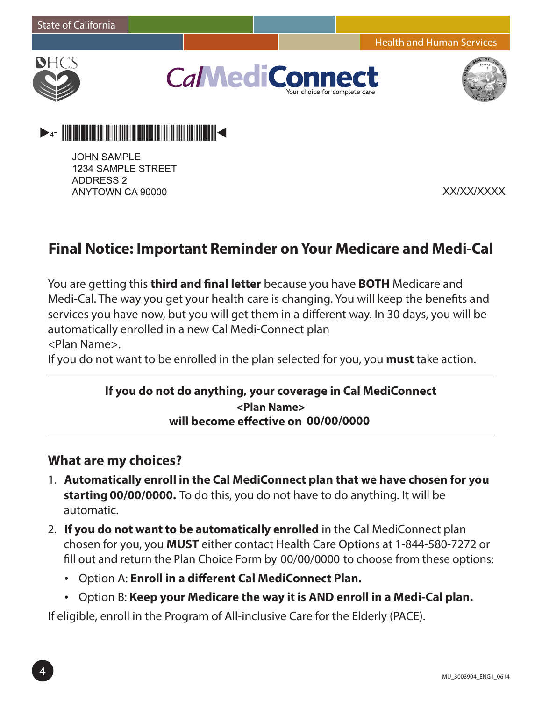Health and Human Services



**CaMediCo** r choice for complete ca





**JOHN SAMPLE 1234 SAMPLE STREET ADDRESS 2** ANYTOWN CA 90000

XX/XX/XXXX

# **Final Notice: Important Reminder on Your Medicare and Medi‐Cal**

You are getting this **third and final letter** because you have **BOTH** Medicare and Medi-Cal. The way you get your health care is changing. You will keep the benefits and services you have now, but you will get them in a different way. In 30 days, you will be automatically enrolled in a new Cal Medi-Connect plan <Plan Name>.

If you do not want to be enrolled in the plan selected for you, you **must** take action.

#### **If you do not do anything, your coverage in Cal MediConnect will become effective on 00/00/0000 <Plan Name>**

#### **What are my choices?**

- 1. **Automatically enroll in the Cal MediConnect plan that we have chosen for you starting 00/00/0000.** To do this, you do not have to do anything. It will be automatic.
- 2. **If you do not want to be automatically enrolled** in the Cal MediConnect plan chosen for you, you **MUST** either contact Health Care Options at 1-844-580-7272 or fill out and return the Plan Choice Form by 00/00/0000 to choose from these options:
	- • Option A: **Enroll in a different Cal MediConnect Plan.**
	- • Option B: **Keep your Medicare the way it is AND enroll in a Medi-Cal plan.**

If eligible, enroll in the Program of All-inclusive Care for the Elderly (PACE).